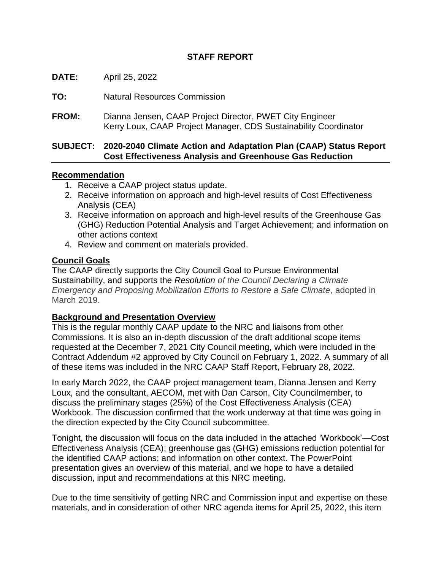# **STAFF REPORT**

**DATE:** April 25, 2022

**TO:** Natural Resources Commission

**FROM:** Dianna Jensen, CAAP Project Director, PWET City Engineer Kerry Loux, CAAP Project Manager, CDS Sustainability Coordinator

#### **SUBJECT: 2020-2040 Climate Action and Adaptation Plan (CAAP) Status Report Cost Effectiveness Analysis and Greenhouse Gas Reduction**

### **Recommendation**

- 1. Receive a CAAP project status update.
- 2. Receive information on approach and high-level results of Cost Effectiveness Analysis (CEA)
- 3. Receive information on approach and high-level results of the Greenhouse Gas (GHG) Reduction Potential Analysis and Target Achievement; and information on other actions context
- 4. Review and comment on materials provided.

### **Council Goals**

The CAAP directly supports the City Council Goal to Pursue Environmental Sustainability, and supports the *Resolution of the Council Declaring a Climate Emergency and Proposing Mobilization Efforts to Restore a Safe Climate*, adopted in March 2019.

# **Background and Presentation Overview**

This is the regular monthly CAAP update to the NRC and liaisons from other Commissions. It is also an in-depth discussion of the draft additional scope items requested at the December 7, 2021 City Council meeting, which were included in the Contract Addendum #2 approved by City Council on February 1, 2022. A summary of all of these items was included in the NRC CAAP Staff Report, February 28, 2022.

In early March 2022, the CAAP project management team, Dianna Jensen and Kerry Loux, and the consultant, AECOM, met with Dan Carson, City Councilmember, to discuss the preliminary stages (25%) of the Cost Effectiveness Analysis (CEA) Workbook. The discussion confirmed that the work underway at that time was going in the direction expected by the City Council subcommittee.

Tonight, the discussion will focus on the data included in the attached 'Workbook'—Cost Effectiveness Analysis (CEA); greenhouse gas (GHG) emissions reduction potential for the identified CAAP actions; and information on other context. The PowerPoint presentation gives an overview of this material, and we hope to have a detailed discussion, input and recommendations at this NRC meeting.

Due to the time sensitivity of getting NRC and Commission input and expertise on these materials, and in consideration of other NRC agenda items for April 25, 2022, this item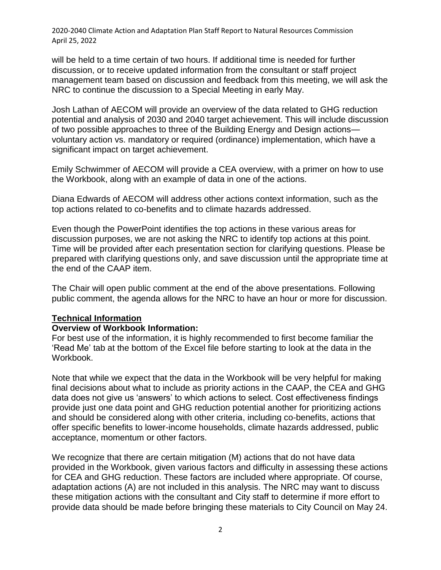will be held to a time certain of two hours. If additional time is needed for further discussion, or to receive updated information from the consultant or staff project management team based on discussion and feedback from this meeting, we will ask the NRC to continue the discussion to a Special Meeting in early May.

Josh Lathan of AECOM will provide an overview of the data related to GHG reduction potential and analysis of 2030 and 2040 target achievement. This will include discussion of two possible approaches to three of the Building Energy and Design actions voluntary action vs. mandatory or required (ordinance) implementation, which have a significant impact on target achievement.

Emily Schwimmer of AECOM will provide a CEA overview, with a primer on how to use the Workbook, along with an example of data in one of the actions.

Diana Edwards of AECOM will address other actions context information, such as the top actions related to co-benefits and to climate hazards addressed.

Even though the PowerPoint identifies the top actions in these various areas for discussion purposes, we are not asking the NRC to identify top actions at this point. Time will be provided after each presentation section for clarifying questions. Please be prepared with clarifying questions only, and save discussion until the appropriate time at the end of the CAAP item.

The Chair will open public comment at the end of the above presentations. Following public comment, the agenda allows for the NRC to have an hour or more for discussion.

#### **Technical Information**

#### **Overview of Workbook Information:**

For best use of the information, it is highly recommended to first become familiar the 'Read Me' tab at the bottom of the Excel file before starting to look at the data in the Workbook.

Note that while we expect that the data in the Workbook will be very helpful for making final decisions about what to include as priority actions in the CAAP, the CEA and GHG data does not give us 'answers' to which actions to select. Cost effectiveness findings provide just one data point and GHG reduction potential another for prioritizing actions and should be considered along with other criteria, including co-benefits, actions that offer specific benefits to lower-income households, climate hazards addressed, public acceptance, momentum or other factors.

We recognize that there are certain mitigation (M) actions that do not have data provided in the Workbook, given various factors and difficulty in assessing these actions for CEA and GHG reduction. These factors are included where appropriate. Of course, adaptation actions (A) are not included in this analysis. The NRC may want to discuss these mitigation actions with the consultant and City staff to determine if more effort to provide data should be made before bringing these materials to City Council on May 24.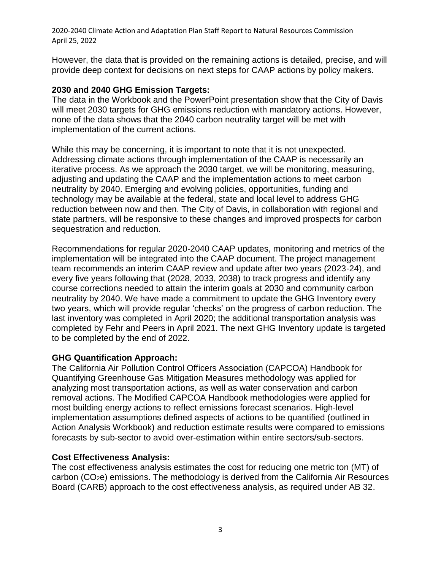However, the data that is provided on the remaining actions is detailed, precise, and will provide deep context for decisions on next steps for CAAP actions by policy makers.

#### **2030 and 2040 GHG Emission Targets:**

The data in the Workbook and the PowerPoint presentation show that the City of Davis will meet 2030 targets for GHG emissions reduction with mandatory actions. However, none of the data shows that the 2040 carbon neutrality target will be met with implementation of the current actions.

While this may be concerning, it is important to note that it is not unexpected. Addressing climate actions through implementation of the CAAP is necessarily an iterative process. As we approach the 2030 target, we will be monitoring, measuring, adjusting and updating the CAAP and the implementation actions to meet carbon neutrality by 2040. Emerging and evolving policies, opportunities, funding and technology may be available at the federal, state and local level to address GHG reduction between now and then. The City of Davis, in collaboration with regional and state partners, will be responsive to these changes and improved prospects for carbon sequestration and reduction.

Recommendations for regular 2020-2040 CAAP updates, monitoring and metrics of the implementation will be integrated into the CAAP document. The project management team recommends an interim CAAP review and update after two years (2023-24), and every five years following that (2028, 2033, 2038) to track progress and identify any course corrections needed to attain the interim goals at 2030 and community carbon neutrality by 2040. We have made a commitment to update the GHG Inventory every two years, which will provide regular 'checks' on the progress of carbon reduction. The last inventory was completed in April 2020; the additional transportation analysis was completed by Fehr and Peers in April 2021. The next GHG Inventory update is targeted to be completed by the end of 2022.

#### **GHG Quantification Approach:**

The California Air Pollution Control Officers Association (CAPCOA) Handbook for Quantifying Greenhouse Gas Mitigation Measures methodology was applied for analyzing most transportation actions, as well as water conservation and carbon removal actions. The Modified CAPCOA Handbook methodologies were applied for most building energy actions to reflect emissions forecast scenarios. High-level implementation assumptions defined aspects of actions to be quantified (outlined in Action Analysis Workbook) and reduction estimate results were compared to emissions forecasts by sub-sector to avoid over-estimation within entire sectors/sub-sectors.

#### **Cost Effectiveness Analysis:**

The cost effectiveness analysis estimates the cost for reducing one metric ton (MT) of carbon (CO2e) emissions. The methodology is derived from the California Air Resources Board (CARB) approach to the cost effectiveness analysis, as required under AB 32.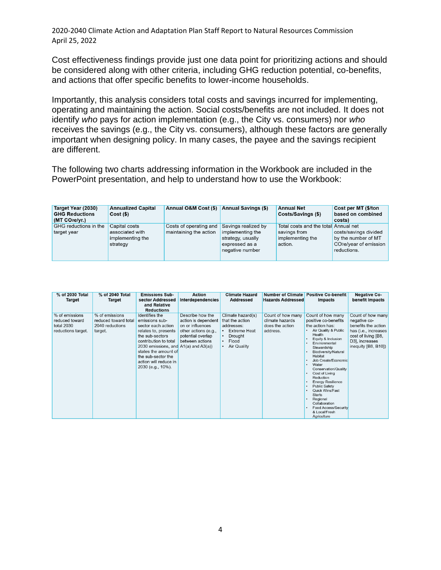Cost effectiveness findings provide just one data point for prioritizing actions and should be considered along with other criteria, including GHG reduction potential, co-benefits, and actions that offer specific benefits to lower-income households.

Importantly, this analysis considers total costs and savings incurred for implementing, operating and maintaining the action. Social costs/benefits are not included. It does not identify *who* pays for action implementation (e.g., the City vs. consumers) nor *who*  receives the savings (e.g., the City vs. consumers), although these factors are generally important when designing policy. In many cases, the payee and the savings recipient are different.

The following two charts addressing information in the Workbook are included in the PowerPoint presentation, and help to understand how to use the Workbook:

| Target Year (2030)<br><b>GHG Reductions</b><br>(MT CO <sub>2</sub> e/vr.) | <b>Annualized Capital</b><br>Cost(S)                             | Annual O&M Cost (\$) Annual Savings (\$)         |                                                                                                   | <b>Annual Net</b><br>Costs/Savings (\$)                                             | Cost per MT (\$/ton<br>based on combined<br>costs)                                                |
|---------------------------------------------------------------------------|------------------------------------------------------------------|--------------------------------------------------|---------------------------------------------------------------------------------------------------|-------------------------------------------------------------------------------------|---------------------------------------------------------------------------------------------------|
| <b>GHG</b> reductions in the<br>target year                               | Capital costs<br>associated with<br>implementing the<br>strategy | Costs of operating and<br>maintaining the action | Savings realized by<br>implementing the<br>strategy, usually<br>expressed as a<br>negative number | Total costs and the total Annual net<br>savings from<br>implementing the<br>action. | costs/savings divided<br>by the number of MT<br>CO <sub>2</sub> e/year of emission<br>reductions. |

| % of 2030 Total                                                      | % of 2040 Total                                                      | <b>Emissions Sub-</b>                                                                                                                                                                                                                                               | <b>Action</b>                                                                                                               | <b>Climate Hazard</b>                                                                                        | <b>Number of Climate</b>                                            | <b>Positive Co-benefit</b>                                                                                                                                                                                                                                                                                                                                                                                                                                                                                                                               | <b>Negative Co-</b>                                                                                                                              |
|----------------------------------------------------------------------|----------------------------------------------------------------------|---------------------------------------------------------------------------------------------------------------------------------------------------------------------------------------------------------------------------------------------------------------------|-----------------------------------------------------------------------------------------------------------------------------|--------------------------------------------------------------------------------------------------------------|---------------------------------------------------------------------|----------------------------------------------------------------------------------------------------------------------------------------------------------------------------------------------------------------------------------------------------------------------------------------------------------------------------------------------------------------------------------------------------------------------------------------------------------------------------------------------------------------------------------------------------------|--------------------------------------------------------------------------------------------------------------------------------------------------|
| Target                                                               | Target                                                               | sector Addressed                                                                                                                                                                                                                                                    | Interdependencies                                                                                                           | <b>Addressed</b>                                                                                             | <b>Hazards Addressed</b>                                            | Impacts                                                                                                                                                                                                                                                                                                                                                                                                                                                                                                                                                  | benefit Impacts                                                                                                                                  |
|                                                                      |                                                                      | and Relative<br><b>Reductions</b>                                                                                                                                                                                                                                   |                                                                                                                             |                                                                                                              |                                                                     |                                                                                                                                                                                                                                                                                                                                                                                                                                                                                                                                                          |                                                                                                                                                  |
| % of emissions<br>reduced toward<br>total 2030<br>reductions target. | % of emissions<br>reduced toward total<br>2040 reductions<br>target. | Identifies the<br>emissions sub-<br>sector each action<br>relates to, presents<br>the sub-sectors<br>contribution to total<br>2030 emissions, and $A1(a)$ and $A3(a)$ )<br>states the amount of<br>the sub-sector the<br>action will reduce in<br>2030 (e.g., 10%). | Describe how the<br>action is dependent<br>on or influences<br>other actions (e.g.,<br>potential overlap<br>between actions | Climate hazard(s)<br>that the action<br>addresses:<br><b>Extreme Heat</b><br>Drought<br>Flood<br>Air Quality | Count of how many<br>climate hazards<br>does the action<br>address. | Count of how many<br>positive co-benefits<br>the action has:<br>Air Quality & Public<br>Health<br>Equity & Inclusion<br>٠<br>Environmental<br>٠<br>Stewardship<br><b>Biodiversity/Natural</b><br>$\blacksquare$<br>Habitat<br>Job Create/Economic<br>$\blacksquare$<br>Water<br>$\bullet$<br>Conservation/Quality<br>Cost of Living<br>Reduction<br><b>Energy Resilience</b><br><b>Public Safety</b><br>$\bullet$<br><b>Quick Wins/Fast</b><br><b>Starts</b><br>Regional<br>Collaboration<br><b>Food Access/Security</b><br>& Local/Fresh<br>Agriculture | Count of how many<br>negative co-<br>benefits the action<br>has (i.e., increases<br>cost of living [B8,<br>D3], increases<br>inequity [B8, B10]) |